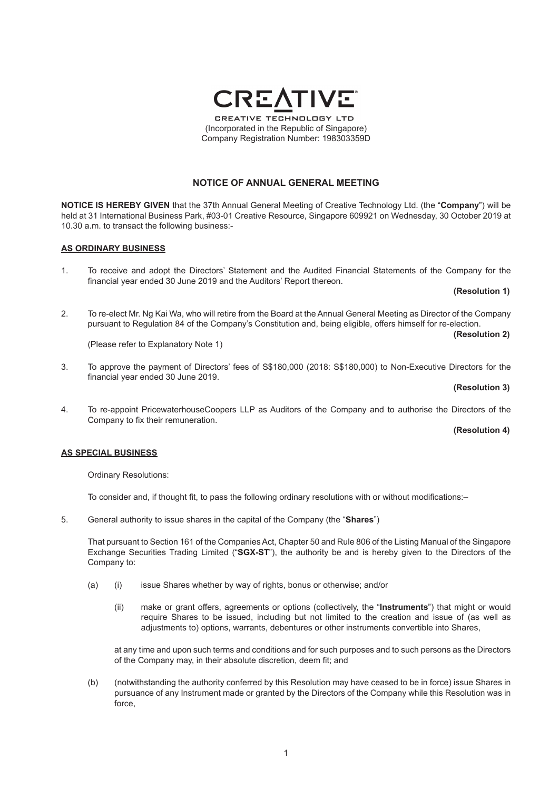# **NOTICE OF ANNUAL GENERAL MEETING**

**NOTICE IS HEREBY GIVEN** that the 37th Annual General Meeting of Creative Technology Ltd. (the "**Company**") will be held at 31 International Business Park, #03-01 Creative Resource, Singapore 609921 on Wednesday, 30 October 2019 at 10.30 a.m. to transact the following business:-

#### **AS ORDINARY BUSINESS**

1. To receive and adopt the Directors' Statement and the Audited Financial Statements of the Company for the financial year ended 30 June 2019 and the Auditors' Report thereon.

**(Resolution 1)**

2. To re-elect Mr. Ng Kai Wa, who will retire from the Board at the Annual General Meeting as Director of the Company pursuant to Regulation 84 of the Company's Constitution and, being eligible, offers himself for re-election.

**(Resolution 2)**

(Please refer to Explanatory Note 1)

3. To approve the payment of Directors' fees of S\$180,000 (2018: S\$180,000) to Non-Executive Directors for the financial year ended 30 June 2019.

### **(Resolution 3)**

4. To re-appoint PricewaterhouseCoopers LLP as Auditors of the Company and to authorise the Directors of the Company to fix their remuneration.

## **(Resolution 4)**

#### **AS SPECIAL BUSINESS**

Ordinary Resolutions:

To consider and, if thought fit, to pass the following ordinary resolutions with or without modifications:–

5. General authority to issue shares in the capital of the Company (the "**Shares**")

That pursuant to Section 161 of the Companies Act, Chapter 50 and Rule 806 of the Listing Manual of the Singapore Exchange Securities Trading Limited ("**SGX-ST**"), the authority be and is hereby given to the Directors of the Company to:

- (a) (i) issue Shares whether by way of rights, bonus or otherwise; and/or
	- (ii) make or grant offers, agreements or options (collectively, the "**Instruments**") that might or would require Shares to be issued, including but not limited to the creation and issue of (as well as adjustments to) options, warrants, debentures or other instruments convertible into Shares,

 at any time and upon such terms and conditions and for such purposes and to such persons as the Directors of the Company may, in their absolute discretion, deem fit; and

(b) (notwithstanding the authority conferred by this Resolution may have ceased to be in force) issue Shares in pursuance of any Instrument made or granted by the Directors of the Company while this Resolution was in force,

**CREATIVE TECHNOLOGY LTD** (Incorporated in the Republic of Singapore) Company Registration Number: 198303359D

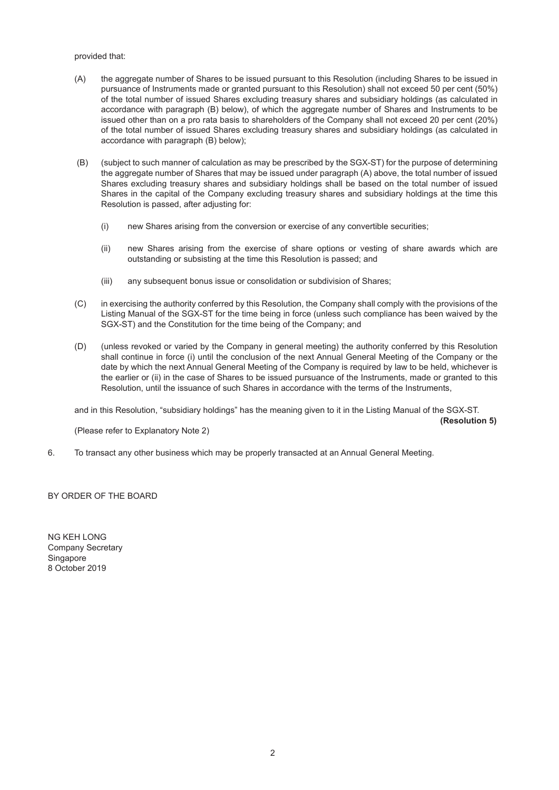provided that:

- (A) the aggregate number of Shares to be issued pursuant to this Resolution (including Shares to be issued in pursuance of Instruments made or granted pursuant to this Resolution) shall not exceed 50 per cent (50%) of the total number of issued Shares excluding treasury shares and subsidiary holdings (as calculated in accordance with paragraph (B) below), of which the aggregate number of Shares and Instruments to be issued other than on a pro rata basis to shareholders of the Company shall not exceed 20 per cent (20%) of the total number of issued Shares excluding treasury shares and subsidiary holdings (as calculated in accordance with paragraph (B) below);
- (B) (subject to such manner of calculation as may be prescribed by the SGX-ST) for the purpose of determining the aggregate number of Shares that may be issued under paragraph (A) above, the total number of issued Shares excluding treasury shares and subsidiary holdings shall be based on the total number of issued Shares in the capital of the Company excluding treasury shares and subsidiary holdings at the time this Resolution is passed, after adjusting for:
	- (i) new Shares arising from the conversion or exercise of any convertible securities;
	- (ii) new Shares arising from the exercise of share options or vesting of share awards which are outstanding or subsisting at the time this Resolution is passed; and
	- (iii) any subsequent bonus issue or consolidation or subdivision of Shares;
- (C) in exercising the authority conferred by this Resolution, the Company shall comply with the provisions of the Listing Manual of the SGX-ST for the time being in force (unless such compliance has been waived by the SGX-ST) and the Constitution for the time being of the Company; and
- (D) (unless revoked or varied by the Company in general meeting) the authority conferred by this Resolution shall continue in force (i) until the conclusion of the next Annual General Meeting of the Company or the date by which the next Annual General Meeting of the Company is required by law to be held, whichever is the earlier or (ii) in the case of Shares to be issued pursuance of the Instruments, made or granted to this Resolution, until the issuance of such Shares in accordance with the terms of the Instruments,

and in this Resolution, "subsidiary holdings" has the meaning given to it in the Listing Manual of the SGX-ST.

 **(Resolution 5)**

(Please refer to Explanatory Note 2)

6. To transact any other business which may be properly transacted at an Annual General Meeting.

BY ORDER OF THE BOARD

NG KEH LONG Company Secretary **Singapore** 8 October 2019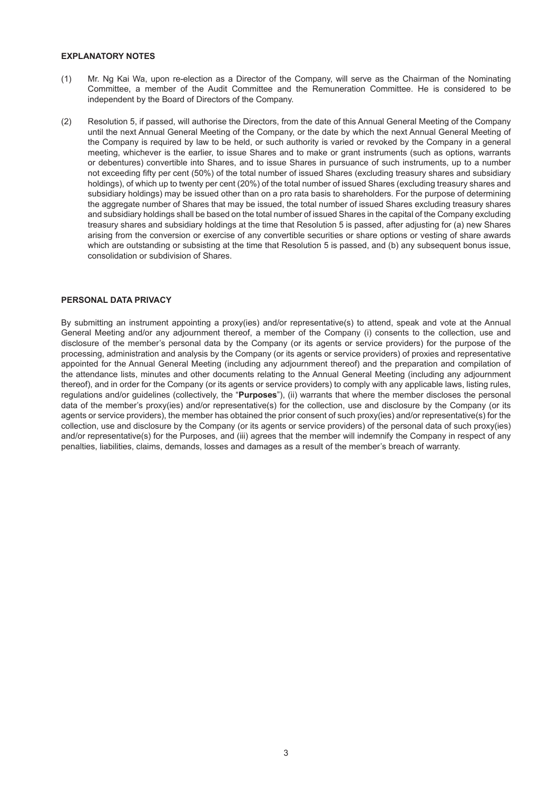## **EXPLANATORY NOTES**

- (1) Mr. Ng Kai Wa, upon re-election as a Director of the Company, will serve as the Chairman of the Nominating Committee, a member of the Audit Committee and the Remuneration Committee. He is considered to be independent by the Board of Directors of the Company.
- (2) Resolution 5, if passed, will authorise the Directors, from the date of this Annual General Meeting of the Company until the next Annual General Meeting of the Company, or the date by which the next Annual General Meeting of the Company is required by law to be held, or such authority is varied or revoked by the Company in a general meeting, whichever is the earlier, to issue Shares and to make or grant instruments (such as options, warrants or debentures) convertible into Shares, and to issue Shares in pursuance of such instruments, up to a number not exceeding fifty per cent (50%) of the total number of issued Shares (excluding treasury shares and subsidiary holdings), of which up to twenty per cent (20%) of the total number of issued Shares (excluding treasury shares and subsidiary holdings) may be issued other than on a pro rata basis to shareholders. For the purpose of determining the aggregate number of Shares that may be issued, the total number of issued Shares excluding treasury shares and subsidiary holdings shall be based on the total number of issued Shares in the capital of the Company excluding treasury shares and subsidiary holdings at the time that Resolution 5 is passed, after adjusting for (a) new Shares arising from the conversion or exercise of any convertible securities or share options or vesting of share awards which are outstanding or subsisting at the time that Resolution 5 is passed, and (b) any subsequent bonus issue, consolidation or subdivision of Shares.

## **PERSONAL DATA PRIVACY**

By submitting an instrument appointing a proxy(ies) and/or representative(s) to attend, speak and vote at the Annual General Meeting and/or any adjournment thereof, a member of the Company (i) consents to the collection, use and disclosure of the member's personal data by the Company (or its agents or service providers) for the purpose of the processing, administration and analysis by the Company (or its agents or service providers) of proxies and representative appointed for the Annual General Meeting (including any adjournment thereof) and the preparation and compilation of the attendance lists, minutes and other documents relating to the Annual General Meeting (including any adjournment thereof), and in order for the Company (or its agents or service providers) to comply with any applicable laws, listing rules, regulations and/or guidelines (collectively, the "**Purposes**"), (ii) warrants that where the member discloses the personal data of the member's proxy(ies) and/or representative(s) for the collection, use and disclosure by the Company (or its agents or service providers), the member has obtained the prior consent of such proxy(ies) and/or representative(s) for the collection, use and disclosure by the Company (or its agents or service providers) of the personal data of such proxy(ies) and/or representative(s) for the Purposes, and (iii) agrees that the member will indemnify the Company in respect of any penalties, liabilities, claims, demands, losses and damages as a result of the member's breach of warranty.